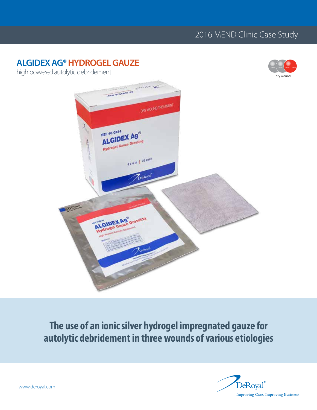# 2016 MEND Clinic Case Study

# **ALGIDEX AG®HYDROGEL GAUZE**



high powered autolytic debridement



# **The use of an ionic silver hydrogel impregnated gauze for autolytic debridement in three wounds of various etiologies**

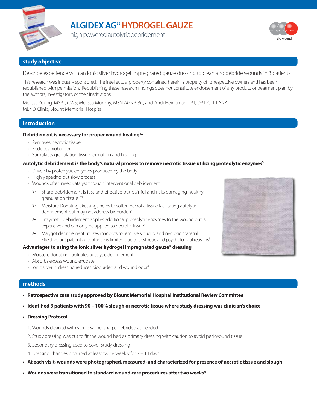

# **ALGIDEX AG®HYDROGEL GAUZE**

high powered autolytic debridement



# **study objective**

Describe experience with an ionic silver hydrogel impregnated gauze dressing to clean and debride wounds in 3 patients.

This research was industry sponsored. The intellectual property contained herein is property of its respective owners and has been republished with permission. Republishing these research findings does not constitute endorsement of any product or treatment plan by the authors, investigators, or their institutions.

Melissa Young, MSPT, CWS; Melissa Murphy, MSN AGNP-BC, and Andi Heinemann PT, DPT, CLT-LANA MEND Clinic, Blount Memorial Hospital

# **introduction**

# **Debridement is necessary for proper wound healing1,2**

- Removes necrotic tissue
- Reduces bioburden
- Stimulates granulation tissue formation and healing

# **Autolytic debridement is the body's natural process to remove necrotic tissue utilizing proteolytic enzymes3**

- Driven by proteolytic enzymes produced by the body
- Highly specific, but slow process
- Wounds often need catalyst through interventional debridement
	- $\triangleright$  Sharp debridement is fast and effective but painful and risks damaging healthy granulation tissue 2,3
	- $\triangleright$  Moisture Donating Dressings helps to soften necrotic tissue facilitating autolytic debridement but may not address bioburden<sup>3</sup>
	- $\triangleright$  Enzymatic debridement applies additional proteolytic enzymes to the wound but is expensive and can only be applied to necrotic tissue<sup>3</sup>
	- $\triangleright$  Maggot debridement utilizes maggots to remove sloughy and necrotic material. Effective but patient acceptance is limited due to aesthetic and psychological reasons<sup>3</sup>

# **Advantages to using the ionic silver hydrogel impregnated gauze\* dressing**

- Moisture donating, facilitates autolytic debridement
- Absorbs excess wound exudate
- Ionic silver in dressing reduces bioburden and wound odor<sup>4</sup>

# **methods**

- **• Retrospective case study approved by Blount Memorial Hospital Institutional Review Committee**
- **• Identified 3 patients with 90 100% slough or necrotic tissue where study dressing was clinician's choice**

**• Dressing Protocol**

- 1. Wounds cleaned with sterile saline, sharps debrided as needed
- 2. Study dressing was cut to fit the wound bed as primary dressing with caution to avoid peri-wound tissue
- 3. Secondary dressing used to cover study dressing
- 4. Dressing changes occurred at least twice weekly for 7 14 days
- **• At each visit, wounds were photographed, measured, and characterized for presence of necrotic tissue and slough**
- **• Wounds were transitioned to standard wound care procedures after two weeks4**

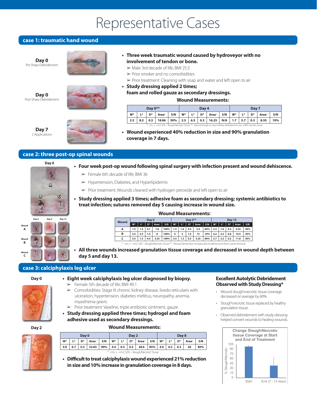# Representative Cases

# **case 1: traumatic hand wound**

**Day 0** Pre Sharp Debridement

**Day 0** Post Sharp Debridement



**• Three week traumatic wound caused by hydroveyor with no involvement of tendon or bone.**

- $\triangleright$  Male 3rd decade of life; BMI 25.5
- $\triangleright$  Prior smoker and no comorbidities

 $\triangleright$  Prior treatment: Cleaning with soap and water and left open to air

**• Study dressing applied 2 times; foam and rolled gauze as secondary dressings.**

# **Wound Measurements:**

**Day 0\*\* Day 4 Day 4 Day 7 W\* L\* D\* Area+ S/N W\* L\* D\* Area+ S/N W\* L\* D\* Area+ S/N 2.3 8.2 0.3 18.86 50% 2.5 6.5 0.3 16.25 N/A 1.7 5.7 0.3 8.55 10%** \* - cm; + - cm2; S/N – Slough/Necrotic Tissue; \*\* - Wound Slough on day 0 before debridement was 100% necrotic tissue

**Day 7** 2 Applications



**• Wound experienced 40% reduction in size and 90% granulation coverage in 7 days.**

# **case 2: three post-op spinal wounds**



- **• Four week post-op wound following spinal surgery with infection present and wound dehiscence.** 
	- $\geq$  Female 6th decade of life; BMI 36
	- $\blacktriangleright$  Hypertension, Diabetes, and Hyperlipidemis
	- $\triangleright$  Prior treatment: Wounds cleaned with hydrogen peroxide and left open to air
- **• Study dressing applied 3 times; adhesive foam as secondary dressing; systemic antibiotics to treat infection; sutures removed day 5 causing increase in wound size.**

# **Wound Measurements:**

| Wound | Day 0 |     |     |                   |      | Day $5***$ |     |     |                   |     | <b>Dav 13</b> |       |     |                   |     |
|-------|-------|-----|-----|-------------------|------|------------|-----|-----|-------------------|-----|---------------|-------|-----|-------------------|-----|
|       | W*    | L*  | D*  | Area <sup>*</sup> | S/N  | $W^*$      | L*  | D*  | Area <sup>+</sup> | S/N | W*            | $L^*$ | D*  | Area <sup>+</sup> | S/N |
| A     | 1.5   | 1.2 | 0.1 | 1.8               | 100% | 1.5        | 1.6 | 0.5 | 2.4               | 60% | 2.2           | 1.6   | 0.3 | 3.52              | 30% |
| в     | 3.2   | 2.5 | 1.5 | 8                 | 100% | 4          | 3   | 1.5 | 12                | 10% | 4.2           | 2.5   | 0.8 | 10.5              | 25% |
|       | 3.5   | 1.5 | 0.4 | 5.25              | 100% | 3.5        | 1.5 | 0.5 | 5.25              | 60% | 3.7           | 3.2   | 0.2 | 11.8              | 45% |
|       |       |     |     |                   |      |            |     |     |                   |     |               |       |     |                   |     |

**• All three wounds increased granulation tissue coverage and decreased in wound depth between**  - Wound dimension increase due to dehiscence from suture to dehiscence from suture removal to definition of the

**day 5 and day 13.**

# **case 3: calciphylaxis leg ulcer**



**Wound A Wound B Wound C**

- **• Eight week calciphylaxis leg ulcer diagnosed by biopsy.**
	- $\blacktriangleright$  Female 5th decade of life; BMI 49.1
	- $\triangleright$  Comorbidities: Stage III chronic kidney disease, livedo reticularis with ulceration, hypertension, diabetes mellitus, neuropathy, anemia, myasthenia gravis
	- $\triangleright$  Prior treatment: Vaseline, triple antibiotic ointment, gauze
- **• Study dressing applied three times; hydrogel and foam adhesive used as secondary dressings.**

#### **Day 2**



**Day 0 Day 2 Day 8 W\* L\* D\* Area+ S/N W\* L\* D\* Area+ S/N W\* L\* D\* Area+ S/N 4.9 6.7 0.3 32.83 90% 4.4 6.5 0.3 28.6 85% 4.0 6.5 0.3 26 80%** \* - cm; + - cm2; S/N – Slough/Necrotic Tissue

**Wound Measurements:**

**• Difficult to treat calciphylaxis wound experienced 21% reduction in size and 10% increase in granulation coverage in 8 days.**

### **Excellent Autolytic Debridement Observed with Study Dressing\***

- Wound slough\necrotic tissue coverage decreased on average by 60%.
- Slough\necrotic tissue replaced by healthy granulation tissue.
- Observed debridement with study dressing helped convert wounds to healing wounds.